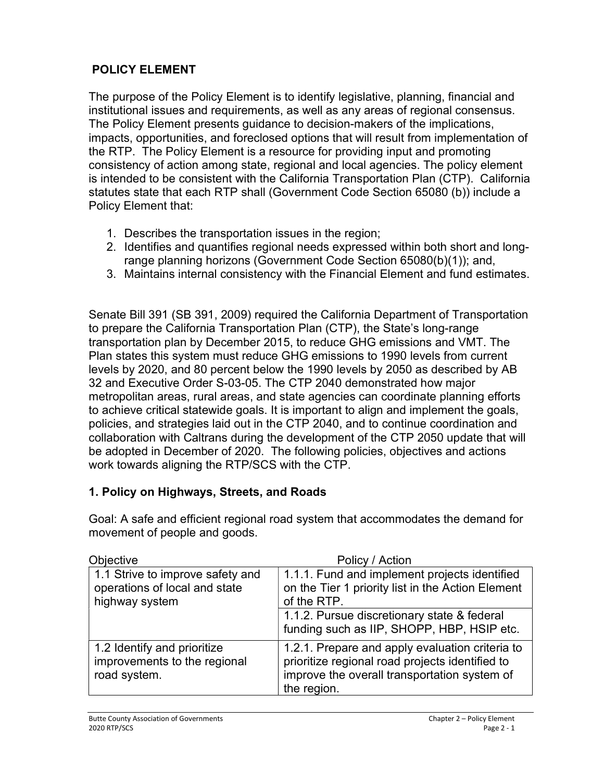## POLICY ELEMENT

The purpose of the Policy Element is to identify legislative, planning, financial and institutional issues and requirements, as well as any areas of regional consensus. The Policy Element presents guidance to decision-makers of the implications, impacts, opportunities, and foreclosed options that will result from implementation of the RTP. The Policy Element is a resource for providing input and promoting consistency of action among state, regional and local agencies. The policy element is intended to be consistent with the California Transportation Plan (CTP). California statutes state that each RTP shall (Government Code Section 65080 (b)) include a Policy Element that:

- 1. Describes the transportation issues in the region;
- 2. Identifies and quantifies regional needs expressed within both short and longrange planning horizons (Government Code Section 65080(b)(1)); and,
- 3. Maintains internal consistency with the Financial Element and fund estimates.

Senate Bill 391 (SB 391, 2009) required the California Department of Transportation to prepare the California Transportation Plan (CTP), the State's long-range transportation plan by December 2015, to reduce GHG emissions and VMT. The Plan states this system must reduce GHG emissions to 1990 levels from current levels by 2020, and 80 percent below the 1990 levels by 2050 as described by AB 32 and Executive Order S-03-05. The CTP 2040 demonstrated how major metropolitan areas, rural areas, and state agencies can coordinate planning efforts to achieve critical statewide goals. It is important to align and implement the goals, policies, and strategies laid out in the CTP 2040, and to continue coordination and collaboration with Caltrans during the development of the CTP 2050 update that will be adopted in December of 2020. The following policies, objectives and actions work towards aligning the RTP/SCS with the CTP.

#### 1. Policy on Highways, Streets, and Roads

Goal: A safe and efficient regional road system that accommodates the demand for movement of people and goods.

| <b>Objective</b>                                                                    | Policy / Action                                                                                                                                                   |
|-------------------------------------------------------------------------------------|-------------------------------------------------------------------------------------------------------------------------------------------------------------------|
| 1.1 Strive to improve safety and<br>operations of local and state<br>highway system | 1.1.1. Fund and implement projects identified<br>on the Tier 1 priority list in the Action Element<br>of the RTP.                                                 |
|                                                                                     | 1.1.2. Pursue discretionary state & federal<br>funding such as IIP, SHOPP, HBP, HSIP etc.                                                                         |
| 1.2 Identify and prioritize<br>improvements to the regional<br>road system.         | 1.2.1. Prepare and apply evaluation criteria to<br>prioritize regional road projects identified to<br>improve the overall transportation system of<br>the region. |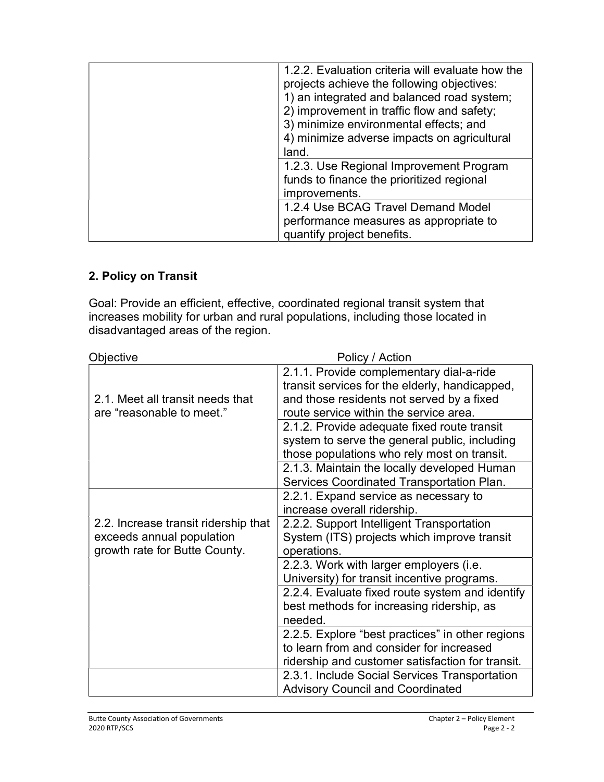| 1.2.2. Evaluation criteria will evaluate how the<br>projects achieve the following objectives:<br>1) an integrated and balanced road system;<br>2) improvement in traffic flow and safety;<br>3) minimize environmental effects; and<br>4) minimize adverse impacts on agricultural<br>land. |
|----------------------------------------------------------------------------------------------------------------------------------------------------------------------------------------------------------------------------------------------------------------------------------------------|
| 1.2.3. Use Regional Improvement Program<br>funds to finance the prioritized regional<br>improvements.                                                                                                                                                                                        |
| 1.2.4 Use BCAG Travel Demand Model<br>performance measures as appropriate to<br>quantify project benefits.                                                                                                                                                                                   |

#### 2. Policy on Transit

Goal: Provide an efficient, effective, coordinated regional transit system that increases mobility for urban and rural populations, including those located in disadvantaged areas of the region.

| <b>Objective</b>                                                                                   | Policy / Action                                                                                                                                                                   |
|----------------------------------------------------------------------------------------------------|-----------------------------------------------------------------------------------------------------------------------------------------------------------------------------------|
| 2.1. Meet all transit needs that<br>are "reasonable to meet."                                      | 2.1.1. Provide complementary dial-a-ride<br>transit services for the elderly, handicapped,<br>and those residents not served by a fixed<br>route service within the service area. |
|                                                                                                    | 2.1.2. Provide adequate fixed route transit<br>system to serve the general public, including<br>those populations who rely most on transit.                                       |
|                                                                                                    | 2.1.3. Maintain the locally developed Human<br>Services Coordinated Transportation Plan.                                                                                          |
|                                                                                                    | 2.2.1. Expand service as necessary to<br>increase overall ridership.                                                                                                              |
| 2.2. Increase transit ridership that<br>exceeds annual population<br>growth rate for Butte County. | 2.2.2. Support Intelligent Transportation<br>System (ITS) projects which improve transit<br>operations.                                                                           |
|                                                                                                    | 2.2.3. Work with larger employers (i.e.<br>University) for transit incentive programs.                                                                                            |
|                                                                                                    | 2.2.4. Evaluate fixed route system and identify<br>best methods for increasing ridership, as<br>needed.                                                                           |
|                                                                                                    | 2.2.5. Explore "best practices" in other regions<br>to learn from and consider for increased                                                                                      |
|                                                                                                    | ridership and customer satisfaction for transit.                                                                                                                                  |
|                                                                                                    | 2.3.1. Include Social Services Transportation<br><b>Advisory Council and Coordinated</b>                                                                                          |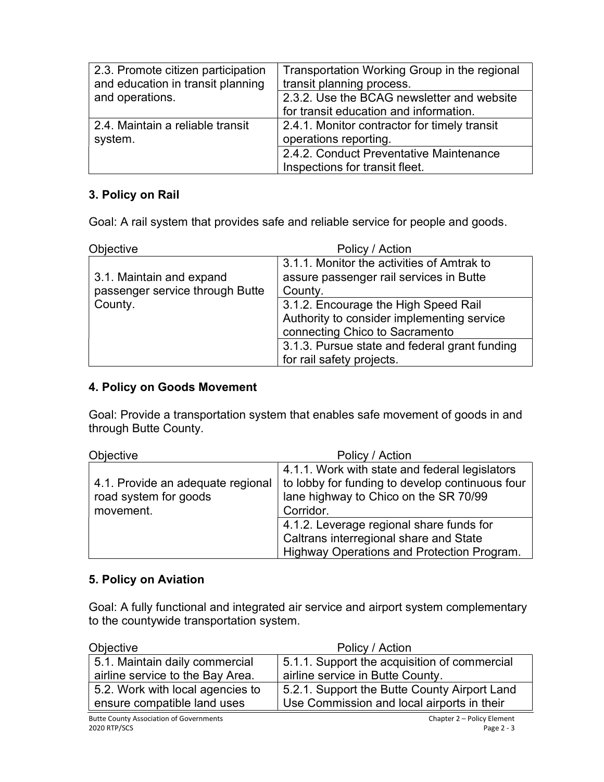| 2.3. Promote citizen participation<br>and education in transit planning | Transportation Working Group in the regional<br>transit planning process. |
|-------------------------------------------------------------------------|---------------------------------------------------------------------------|
| and operations.                                                         | 2.3.2. Use the BCAG newsletter and website                                |
|                                                                         | for transit education and information.                                    |
| 2.4. Maintain a reliable transit                                        | 2.4.1. Monitor contractor for timely transit                              |
| system.                                                                 | operations reporting.                                                     |
|                                                                         | 2.4.2. Conduct Preventative Maintenance                                   |
|                                                                         | Inspections for transit fleet.                                            |

#### 3. Policy on Rail

Goal: A rail system that provides safe and reliable service for people and goods.

| Objective                                                   | Policy / Action                                                                                                      |
|-------------------------------------------------------------|----------------------------------------------------------------------------------------------------------------------|
| 3.1. Maintain and expand<br>passenger service through Butte | 3.1.1. Monitor the activities of Amtrak to<br>assure passenger rail services in Butte<br>County.                     |
| County.                                                     | 3.1.2. Encourage the High Speed Rail<br>Authority to consider implementing service<br>connecting Chico to Sacramento |
|                                                             | 3.1.3. Pursue state and federal grant funding<br>for rail safety projects.                                           |

#### 4. Policy on Goods Movement

Goal: Provide a transportation system that enables safe movement of goods in and through Butte County.

| <b>Objective</b>                                                        | Policy / Action                                                                                                                                         |
|-------------------------------------------------------------------------|---------------------------------------------------------------------------------------------------------------------------------------------------------|
| 4.1. Provide an adequate regional<br>road system for goods<br>movement. | 4.1.1. Work with state and federal legislators<br>to lobby for funding to develop continuous four<br>lane highway to Chico on the SR 70/99<br>Corridor. |
|                                                                         | 4.1.2. Leverage regional share funds for<br>Caltrans interregional share and State<br>Highway Operations and Protection Program.                        |

#### 5. Policy on Aviation

Goal: A fully functional and integrated air service and airport system complementary to the countywide transportation system.

| Objective                        | Policy / Action                              |
|----------------------------------|----------------------------------------------|
| 5.1. Maintain daily commercial   | 5.1.1. Support the acquisition of commercial |
| airline service to the Bay Area. | airline service in Butte County.             |
| 5.2. Work with local agencies to | 5.2.1. Support the Butte County Airport Land |
| ensure compatible land uses      | Use Commission and local airports in their   |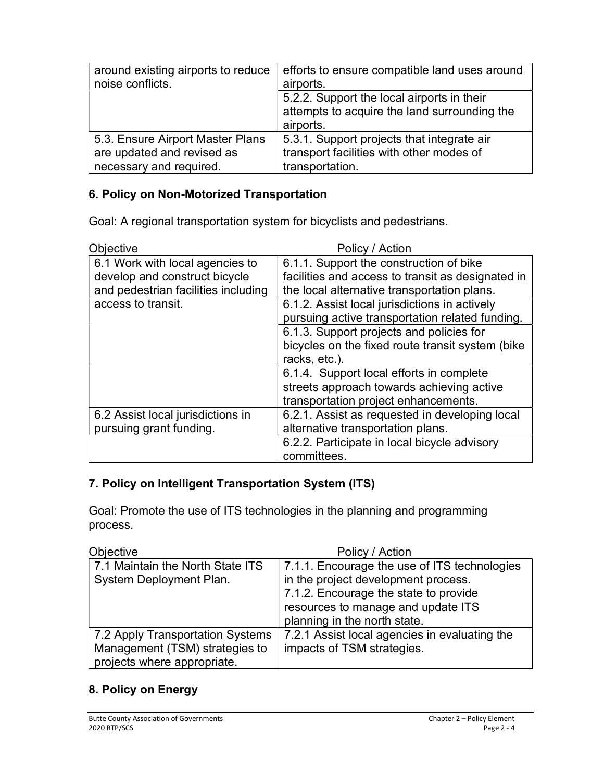| around existing airports to reduce<br>noise conflicts. | efforts to ensure compatible land uses around<br>airports. |
|--------------------------------------------------------|------------------------------------------------------------|
|                                                        | 5.2.2. Support the local airports in their                 |
|                                                        | attempts to acquire the land surrounding the               |
|                                                        | airports.                                                  |
| 5.3. Ensure Airport Master Plans                       | 5.3.1. Support projects that integrate air                 |
| are updated and revised as                             | transport facilities with other modes of                   |
| necessary and required.                                | transportation.                                            |

#### 6. Policy on Non-Motorized Transportation

Goal: A regional transportation system for bicyclists and pedestrians.

| Objective                                                                                                                     | Policy / Action                                                                                                                                                                                                                                 |
|-------------------------------------------------------------------------------------------------------------------------------|-------------------------------------------------------------------------------------------------------------------------------------------------------------------------------------------------------------------------------------------------|
| 6.1 Work with local agencies to<br>develop and construct bicycle<br>and pedestrian facilities including<br>access to transit. | 6.1.1. Support the construction of bike<br>facilities and access to transit as designated in<br>the local alternative transportation plans.<br>6.1.2. Assist local jurisdictions in actively<br>pursuing active transportation related funding. |
|                                                                                                                               | 6.1.3. Support projects and policies for<br>bicycles on the fixed route transit system (bike<br>racks, etc.).                                                                                                                                   |
|                                                                                                                               | 6.1.4. Support local efforts in complete<br>streets approach towards achieving active<br>transportation project enhancements.                                                                                                                   |
| 6.2 Assist local jurisdictions in<br>pursuing grant funding.                                                                  | 6.2.1. Assist as requested in developing local<br>alternative transportation plans.                                                                                                                                                             |
|                                                                                                                               | 6.2.2. Participate in local bicycle advisory<br>committees.                                                                                                                                                                                     |

#### 7. Policy on Intelligent Transportation System (ITS)

Goal: Promote the use of ITS technologies in the planning and programming process.

| <b>Objective</b>                                                                                  | Policy / Action                                                                                                                                                                                    |
|---------------------------------------------------------------------------------------------------|----------------------------------------------------------------------------------------------------------------------------------------------------------------------------------------------------|
| 7.1 Maintain the North State ITS<br>System Deployment Plan.                                       | 7.1.1. Encourage the use of ITS technologies<br>in the project development process.<br>7.1.2. Encourage the state to provide<br>resources to manage and update ITS<br>planning in the north state. |
| 7.2 Apply Transportation Systems<br>Management (TSM) strategies to<br>projects where appropriate. | 7.2.1 Assist local agencies in evaluating the<br>impacts of TSM strategies.                                                                                                                        |

#### 8. Policy on Energy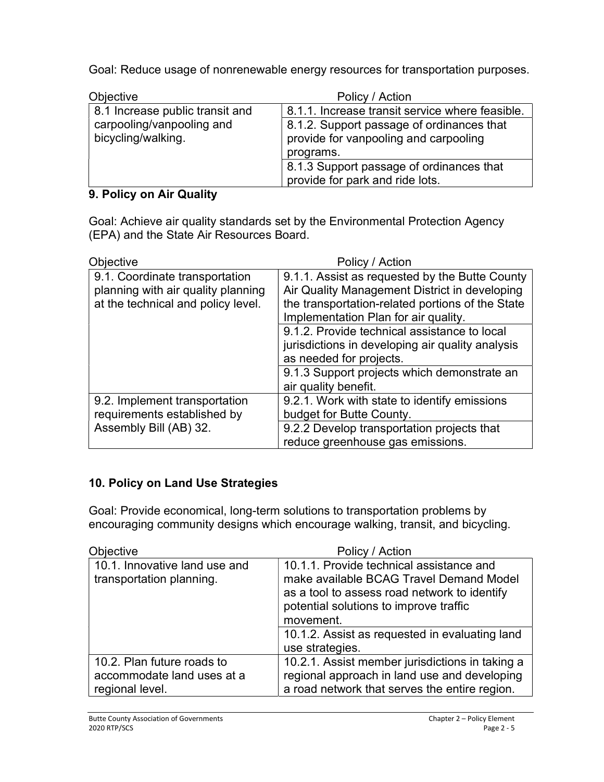Goal: Reduce usage of nonrenewable energy resources for transportation purposes.

| <b>Objective</b>                                | Policy / Action                                                                                 |
|-------------------------------------------------|-------------------------------------------------------------------------------------------------|
| 8.1 Increase public transit and                 | 8.1.1. Increase transit service where feasible.                                                 |
| carpooling/vanpooling and<br>bicycling/walking. | 8.1.2. Support passage of ordinances that<br>provide for vanpooling and carpooling<br>programs. |
|                                                 | 8.1.3 Support passage of ordinances that<br>provide for park and ride lots.                     |

#### 9. Policy on Air Quality

Goal: Achieve air quality standards set by the Environmental Protection Agency (EPA) and the State Air Resources Board.

| Objective                                                                                                  | Policy / Action                                                                                                                                                                             |
|------------------------------------------------------------------------------------------------------------|---------------------------------------------------------------------------------------------------------------------------------------------------------------------------------------------|
| 9.1. Coordinate transportation<br>planning with air quality planning<br>at the technical and policy level. | 9.1.1. Assist as requested by the Butte County<br>Air Quality Management District in developing<br>the transportation-related portions of the State<br>Implementation Plan for air quality. |
|                                                                                                            | 9.1.2. Provide technical assistance to local<br>jurisdictions in developing air quality analysis<br>as needed for projects.                                                                 |
|                                                                                                            | 9.1.3 Support projects which demonstrate an<br>air quality benefit.                                                                                                                         |
| 9.2. Implement transportation<br>requirements established by                                               | 9.2.1. Work with state to identify emissions<br>budget for Butte County.                                                                                                                    |
| Assembly Bill (AB) 32.                                                                                     | 9.2.2 Develop transportation projects that<br>reduce greenhouse gas emissions.                                                                                                              |

## 10. Policy on Land Use Strategies

Goal: Provide economical, long-term solutions to transportation problems by encouraging community designs which encourage walking, transit, and bicycling.

| <b>Objective</b>                                                            | Policy / Action                                                                                                                                                                            |
|-----------------------------------------------------------------------------|--------------------------------------------------------------------------------------------------------------------------------------------------------------------------------------------|
| 10.1. Innovative land use and<br>transportation planning.                   | 10.1.1. Provide technical assistance and<br>make available BCAG Travel Demand Model<br>as a tool to assess road network to identify<br>potential solutions to improve traffic<br>movement. |
|                                                                             | 10.1.2. Assist as requested in evaluating land<br>use strategies.                                                                                                                          |
| 10.2. Plan future roads to<br>accommodate land uses at a<br>regional level. | 10.2.1. Assist member jurisdictions in taking a<br>regional approach in land use and developing<br>a road network that serves the entire region.                                           |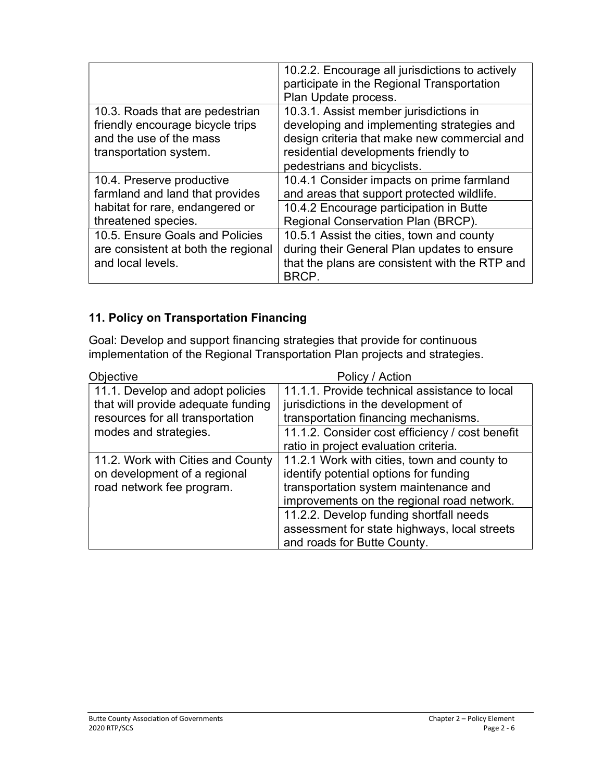|                                                                                                                          | 10.2.2. Encourage all jurisdictions to actively<br>participate in the Regional Transportation<br>Plan Update process.                                                                                       |
|--------------------------------------------------------------------------------------------------------------------------|-------------------------------------------------------------------------------------------------------------------------------------------------------------------------------------------------------------|
| 10.3. Roads that are pedestrian<br>friendly encourage bicycle trips<br>and the use of the mass<br>transportation system. | 10.3.1. Assist member jurisdictions in<br>developing and implementing strategies and<br>design criteria that make new commercial and<br>residential developments friendly to<br>pedestrians and bicyclists. |
| 10.4. Preserve productive<br>farmland and land that provides                                                             | 10.4.1 Consider impacts on prime farmland<br>and areas that support protected wildlife.                                                                                                                     |
| habitat for rare, endangered or<br>threatened species.                                                                   | 10.4.2 Encourage participation in Butte<br>Regional Conservation Plan (BRCP).                                                                                                                               |
| 10.5. Ensure Goals and Policies<br>are consistent at both the regional<br>and local levels.                              | 10.5.1 Assist the cities, town and county<br>during their General Plan updates to ensure<br>that the plans are consistent with the RTP and<br>BRCP.                                                         |

# 11. Policy on Transportation Financing

Goal: Develop and support financing strategies that provide for continuous implementation of the Regional Transportation Plan projects and strategies.

| <b>Objective</b>                   | Policy / Action                                 |
|------------------------------------|-------------------------------------------------|
| 11.1. Develop and adopt policies   | 11.1.1. Provide technical assistance to local   |
| that will provide adequate funding | jurisdictions in the development of             |
| resources for all transportation   | transportation financing mechanisms.            |
| modes and strategies.              | 11.1.2. Consider cost efficiency / cost benefit |
|                                    | ratio in project evaluation criteria.           |
| 11.2. Work with Cities and County  | 11.2.1 Work with cities, town and county to     |
| on development of a regional       | identify potential options for funding          |
| road network fee program.          | transportation system maintenance and           |
|                                    | improvements on the regional road network.      |
|                                    | 11.2.2. Develop funding shortfall needs         |
|                                    | assessment for state highways, local streets    |
|                                    | and roads for Butte County.                     |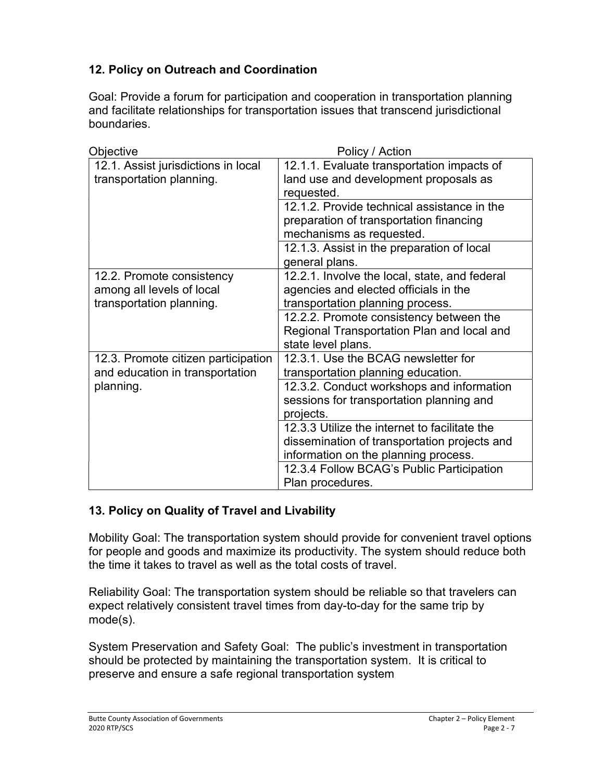## 12. Policy on Outreach and Coordination

Goal: Provide a forum for participation and cooperation in transportation planning and facilitate relationships for transportation issues that transcend jurisdictional boundaries.

| Objective                                                                          | Policy / Action                                                                                                                       |
|------------------------------------------------------------------------------------|---------------------------------------------------------------------------------------------------------------------------------------|
| 12.1. Assist jurisdictions in local<br>transportation planning.                    | 12.1.1. Evaluate transportation impacts of<br>land use and development proposals as<br>requested.                                     |
|                                                                                    | 12.1.2. Provide technical assistance in the<br>preparation of transportation financing<br>mechanisms as requested.                    |
|                                                                                    | 12.1.3. Assist in the preparation of local<br>general plans.                                                                          |
| 12.2. Promote consistency<br>among all levels of local<br>transportation planning. | 12.2.1. Involve the local, state, and federal<br>agencies and elected officials in the<br>transportation planning process.            |
|                                                                                    | 12.2.2. Promote consistency between the<br>Regional Transportation Plan and local and<br>state level plans.                           |
| 12.3. Promote citizen participation<br>and education in transportation             | 12.3.1. Use the BCAG newsletter for<br>transportation planning education.                                                             |
| planning.                                                                          | 12.3.2. Conduct workshops and information<br>sessions for transportation planning and<br>projects.                                    |
|                                                                                    | 12.3.3 Utilize the internet to facilitate the<br>dissemination of transportation projects and<br>information on the planning process. |
|                                                                                    | 12.3.4 Follow BCAG's Public Participation<br>Plan procedures.                                                                         |

#### 13. Policy on Quality of Travel and Livability

Mobility Goal: The transportation system should provide for convenient travel options for people and goods and maximize its productivity. The system should reduce both the time it takes to travel as well as the total costs of travel.

Reliability Goal: The transportation system should be reliable so that travelers can expect relatively consistent travel times from day-to-day for the same trip by mode(s).

System Preservation and Safety Goal: The public's investment in transportation should be protected by maintaining the transportation system. It is critical to preserve and ensure a safe regional transportation system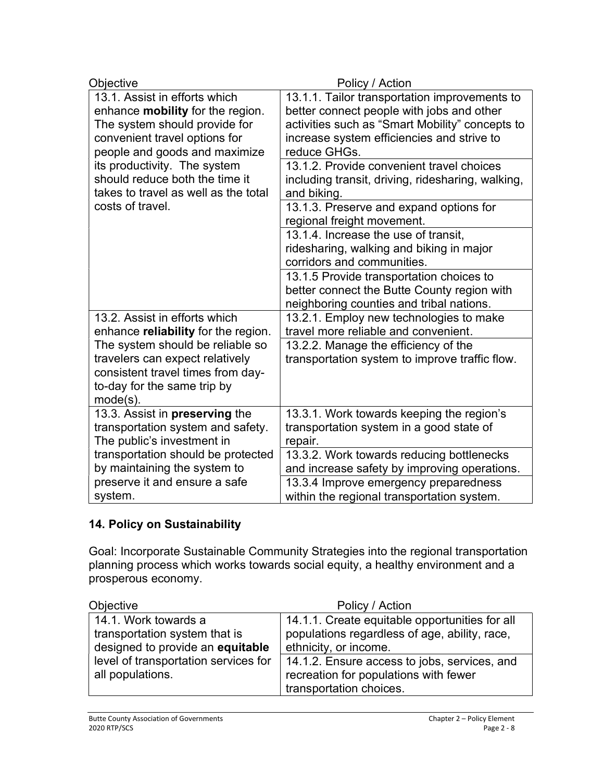| Objective                                                                                                                                              | Policy / Action                                                                                                                     |
|--------------------------------------------------------------------------------------------------------------------------------------------------------|-------------------------------------------------------------------------------------------------------------------------------------|
| 13.1. Assist in efforts which                                                                                                                          | 13.1.1. Tailor transportation improvements to                                                                                       |
| enhance mobility for the region.                                                                                                                       | better connect people with jobs and other                                                                                           |
| The system should provide for                                                                                                                          | activities such as "Smart Mobility" concepts to                                                                                     |
| convenient travel options for                                                                                                                          | increase system efficiencies and strive to                                                                                          |
| people and goods and maximize                                                                                                                          | reduce GHGs.                                                                                                                        |
| its productivity. The system                                                                                                                           | 13.1.2. Provide convenient travel choices                                                                                           |
| should reduce both the time it                                                                                                                         | including transit, driving, ridesharing, walking,                                                                                   |
| takes to travel as well as the total                                                                                                                   | and biking.                                                                                                                         |
| costs of travel.                                                                                                                                       | 13.1.3. Preserve and expand options for<br>regional freight movement.                                                               |
|                                                                                                                                                        | 13.1.4. Increase the use of transit,<br>ridesharing, walking and biking in major<br>corridors and communities.                      |
|                                                                                                                                                        | 13.1.5 Provide transportation choices to<br>better connect the Butte County region with<br>neighboring counties and tribal nations. |
| 13.2. Assist in efforts which                                                                                                                          | 13.2.1. Employ new technologies to make                                                                                             |
| enhance reliability for the region.                                                                                                                    | travel more reliable and convenient.                                                                                                |
| The system should be reliable so<br>travelers can expect relatively<br>consistent travel times from day-<br>to-day for the same trip by<br>$mode(s)$ . | 13.2.2. Manage the efficiency of the<br>transportation system to improve traffic flow.                                              |
| 13.3. Assist in preserving the                                                                                                                         | 13.3.1. Work towards keeping the region's                                                                                           |
| transportation system and safety.                                                                                                                      | transportation system in a good state of                                                                                            |
| The public's investment in                                                                                                                             | repair.                                                                                                                             |
| transportation should be protected                                                                                                                     | 13.3.2. Work towards reducing bottlenecks                                                                                           |
| by maintaining the system to                                                                                                                           | and increase safety by improving operations.                                                                                        |
| preserve it and ensure a safe                                                                                                                          | 13.3.4 Improve emergency preparedness                                                                                               |
| system.                                                                                                                                                | within the regional transportation system.                                                                                          |

# 14. Policy on Sustainability

Goal: Incorporate Sustainable Community Strategies into the regional transportation planning process which works towards social equity, a healthy environment and a prosperous economy.

| Objective                            | Policy / Action                                |
|--------------------------------------|------------------------------------------------|
| 14.1. Work towards a                 | 14.1.1. Create equitable opportunities for all |
| transportation system that is        | populations regardless of age, ability, race,  |
| designed to provide an equitable     | ethnicity, or income.                          |
| level of transportation services for | 14.1.2. Ensure access to jobs, services, and   |
| all populations.                     | recreation for populations with fewer          |
|                                      | transportation choices.                        |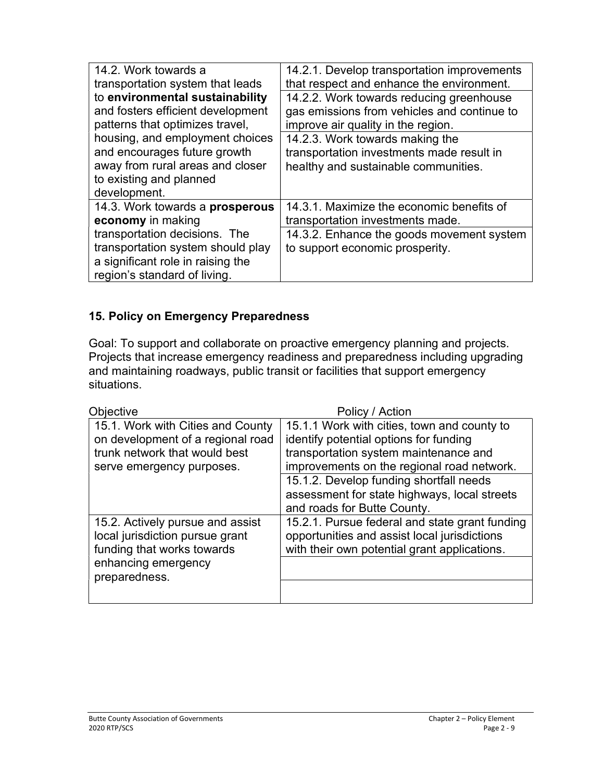| 14.2. Work towards a                                                                                                                    | 14.2.1. Develop transportation improvements                                  |
|-----------------------------------------------------------------------------------------------------------------------------------------|------------------------------------------------------------------------------|
| transportation system that leads                                                                                                        | that respect and enhance the environment.                                    |
| to environmental sustainability                                                                                                         | 14.2.2. Work towards reducing greenhouse                                     |
| and fosters efficient development                                                                                                       | gas emissions from vehicles and continue to                                  |
| patterns that optimizes travel,                                                                                                         | improve air quality in the region.                                           |
| housing, and employment choices                                                                                                         | 14.2.3. Work towards making the                                              |
| and encourages future growth                                                                                                            | transportation investments made result in                                    |
| away from rural areas and closer                                                                                                        | healthy and sustainable communities.                                         |
| to existing and planned<br>development.                                                                                                 |                                                                              |
| 14.3. Work towards a prosperous                                                                                                         | 14.3.1. Maximize the economic benefits of                                    |
| economy in making                                                                                                                       | transportation investments made.                                             |
| transportation decisions. The<br>transportation system should play<br>a significant role in raising the<br>region's standard of living. | 14.3.2. Enhance the goods movement system<br>to support economic prosperity. |

### 15. Policy on Emergency Preparedness

Goal: To support and collaborate on proactive emergency planning and projects. Projects that increase emergency readiness and preparedness including upgrading and maintaining roadways, public transit or facilities that support emergency situations.

| Objective                                                                                                                                 | Policy / Action                                                                                                                                                                                                                                                                                        |
|-------------------------------------------------------------------------------------------------------------------------------------------|--------------------------------------------------------------------------------------------------------------------------------------------------------------------------------------------------------------------------------------------------------------------------------------------------------|
| 15.1. Work with Cities and County<br>on development of a regional road<br>trunk network that would best<br>serve emergency purposes.      | 15.1.1 Work with cities, town and county to<br>identify potential options for funding<br>transportation system maintenance and<br>improvements on the regional road network.<br>15.1.2. Develop funding shortfall needs<br>assessment for state highways, local streets<br>and roads for Butte County. |
| 15.2. Actively pursue and assist<br>local jurisdiction pursue grant<br>funding that works towards<br>enhancing emergency<br>preparedness. | 15.2.1. Pursue federal and state grant funding<br>opportunities and assist local jurisdictions<br>with their own potential grant applications.                                                                                                                                                         |